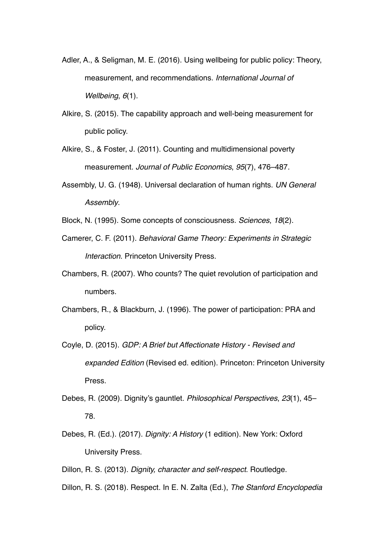- Adler, A., & Seligman, M. E. (2016). Using wellbeing for public policy: Theory, measurement, and recommendations. *International Journal of Wellbeing*, *6*(1).
- Alkire, S. (2015). The capability approach and well-being measurement for public policy.
- Alkire, S., & Foster, J. (2011). Counting and multidimensional poverty measurement. *Journal of Public Economics*, *95*(7), 476–487.
- Assembly, U. G. (1948). Universal declaration of human rights. *UN General Assembly*.

Block, N. (1995). Some concepts of consciousness. *Sciences*, *18*(2).

- Camerer, C. F. (2011). *Behavioral Game Theory: Experiments in Strategic Interaction*. Princeton University Press.
- Chambers, R. (2007). Who counts? The quiet revolution of participation and numbers.
- Chambers, R., & Blackburn, J. (1996). The power of participation: PRA and policy.
- Coyle, D. (2015). *GDP: A Brief but Affectionate History Revised and expanded Edition* (Revised ed. edition). Princeton: Princeton University Press.
- Debes, R. (2009). Dignity's gauntlet. *Philosophical Perspectives*, *23*(1), 45– 78.
- Debes, R. (Ed.). (2017). *Dignity: A History* (1 edition). New York: Oxford University Press.
- Dillon, R. S. (2013). *Dignity, character and self-respect*. Routledge.
- Dillon, R. S. (2018). Respect. In E. N. Zalta (Ed.), *The Stanford Encyclopedia*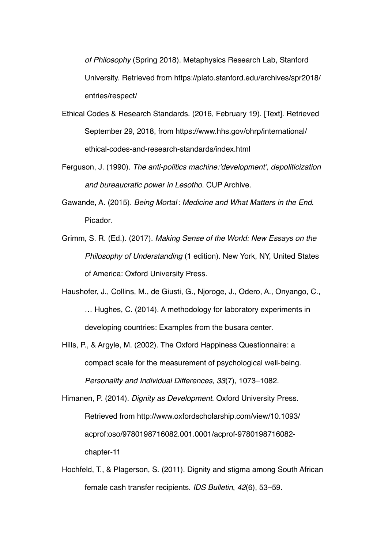*of Philosophy* (Spring 2018). Metaphysics Research Lab, Stanford University. Retrieved from https://plato.stanford.edu/archives/spr2018/ entries/respect/

- Ethical Codes & Research Standards. (2016, February 19). [Text]. Retrieved September 29, 2018, from https://www.hhs.gov/ohrp/international/ ethical-codes-and-research-standards/index.html
- Ferguson, J. (1990). *The anti-politics machine:'development', depoliticization and bureaucratic power in Lesotho*. CUP Archive.
- Gawande, A. (2015). *Being Mortal : Medicine and What Matters in the End*. Picador.
- Grimm, S. R. (Ed.). (2017). *Making Sense of the World: New Essays on the Philosophy of Understanding* (1 edition). New York, NY, United States of America: Oxford University Press.
- Haushofer, J., Collins, M., de Giusti, G., Njoroge, J., Odero, A., Onyango, C., … Hughes, C. (2014). A methodology for laboratory experiments in developing countries: Examples from the busara center.
- Hills, P., & Argyle, M. (2002). The Oxford Happiness Questionnaire: a compact scale for the measurement of psychological well-being. *Personality and Individual Differences*, *33*(7), 1073–1082.

Himanen, P. (2014). *Dignity as Development*. Oxford University Press. Retrieved from http://www.oxfordscholarship.com/view/10.1093/ acprof:oso/9780198716082.001.0001/acprof-9780198716082 chapter-11

Hochfeld, T., & Plagerson, S. (2011). Dignity and stigma among South African female cash transfer recipients. *IDS Bulletin*, *42*(6), 53–59.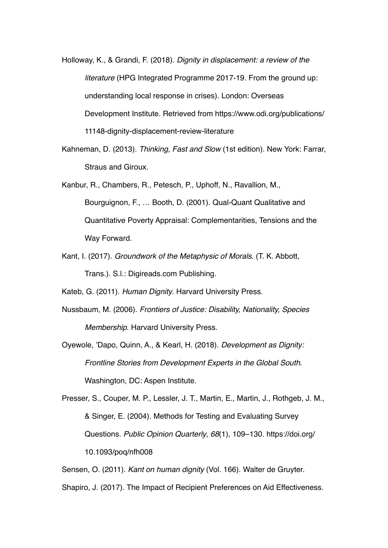- Holloway, K., & Grandi, F. (2018). *Dignity in displacement: a review of the literature* (HPG Integrated Programme 2017-19. From the ground up: understanding local response in crises). London: Overseas Development Institute. Retrieved from https://www.odi.org/publications/ 11148-dignity-displacement-review-literature
- Kahneman, D. (2013). *Thinking, Fast and Slow* (1st edition). New York: Farrar, Straus and Giroux.
- Kanbur, R., Chambers, R., Petesch, P., Uphoff, N., Ravallion, M., Bourguignon, F., … Booth, D. (2001). Qual-Quant Qualitative and Quantitative Poverty Appraisal: Complementarities, Tensions and the Way Forward.
- Kant, I. (2017). *Groundwork of the Metaphysic of Morals*. (T. K. Abbott, Trans.). S.l.: Digireads.com Publishing.
- Kateb, G. (2011). *Human Dignity*. Harvard University Press.
- Nussbaum, M. (2006). *Frontiers of Justice: Disability, Nationality, Species Membership*. Harvard University Press.
- Oyewole, 'Dapo, Quinn, A., & Kearl, H. (2018). *Development as Dignity: Frontline Stories from Development Experts in the Global South*. Washington, DC: Aspen Institute.

Presser, S., Couper, M. P., Lessler, J. T., Martin, E., Martin, J., Rothgeb, J. M., & Singer, E. (2004). Methods for Testing and Evaluating Survey Questions. *Public Opinion Quarterly*, *68*(1), 109–130. https://doi.org/ 10.1093/poq/nfh008

Sensen, O. (2011). *Kant on human dignity* (Vol. 166). Walter de Gruyter.

Shapiro, J. (2017). The Impact of Recipient Preferences on Aid Effectiveness.